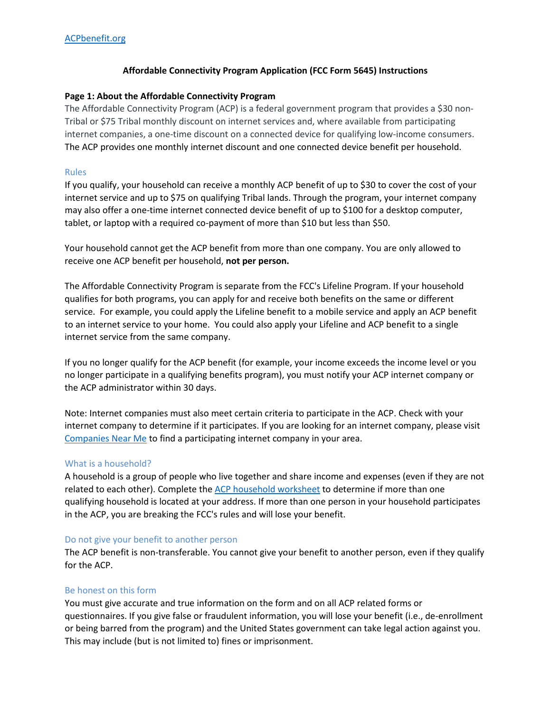## **Affordable Connectivity Program Application (FCC Form 5645) Instructions**

### **Page 1: About the Affordable Connectivity Program**

The Affordable Connectivity Program (ACP) is a federal government program that provides a \$30 non-Tribal or \$75 Tribal monthly discount on internet services and, where available from participating internet companies, a one-time discount on a connected device for qualifying low-income consumers. The ACP provides one monthly internet discount and one connected device benefit per household.

### Rules

If you qualify, your household can receive a monthly ACP benefit of up to \$30 to cover the cost of your internet service and up to \$75 on qualifying Tribal lands. Through the program, your internet company may also offer a one-time internet connected device benefit of up to \$100 for a desktop computer, tablet, or laptop with a required co-payment of more than \$10 but less than \$50.

Your household cannot get the ACP benefit from more than one company. You are only allowed to receive one ACP benefit per household, **not per person.** 

The Affordable Connectivity Program is separate from the FCC's Lifeline Program. If your household qualifies for both programs, you can apply for and receive both benefits on the same or different service. For example, you could apply the Lifeline benefit to a mobile service and apply an ACP benefit to an internet service to your home. You could also apply your Lifeline and ACP benefit to a single internet service from the same company.

If you no longer qualify for the ACP benefit (for example, your income exceeds the income level or you no longer participate in a qualifying benefits program), you must notify your ACP internet company or the ACP administrator within 30 days.

Note: Internet companies must also meet certain criteria to participate in the ACP. Check with your internet company to determine if it participates. If you are looking for an internet company, please visit [Companies Near Me](https://data.usac.org/publicreports/CompaniesNearMe/Download/Report) to find a participating internet company in your area.

#### What is a household?

A household is a group of people who live together and share income and expenses (even if they are not related to each other). Complete th[e ACP household worksheet](https://acpbenefit.org/do-i-qualify/what-is-a-household/) to determine if more than one qualifying household is located at your address. If more than one person in your household participates in the ACP, you are breaking the FCC's rules and will lose your benefit.

#### Do not give your benefit to another person

The ACP benefit is non-transferable. You cannot give your benefit to another person, even if they qualify for the ACP.

#### Be honest on this form

You must give accurate and true information on the form and on all ACP related forms or questionnaires. If you give false or fraudulent information, you will lose your benefit (i.e., de-enrollment or being barred from the program) and the United States government can take legal action against you. This may include (but is not limited to) fines or imprisonment.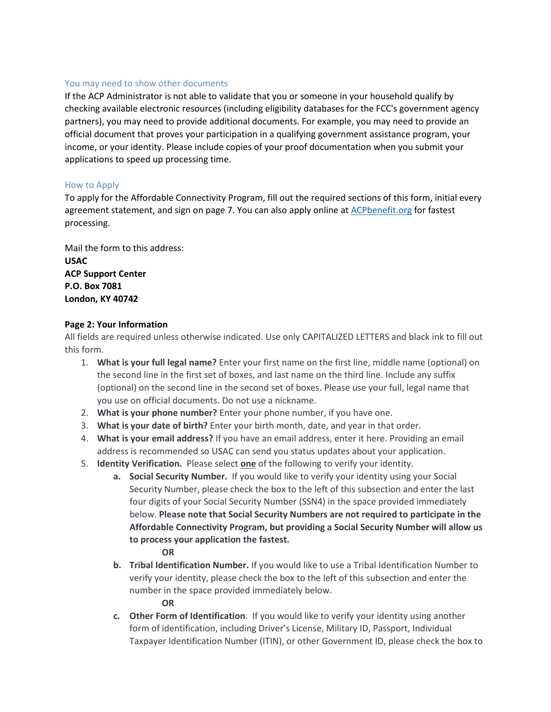### You may need to show other documents

If the ACP Administrator is not able to validate that you or someone in your household qualify by checking available electronic resources (including eligibility databases for the FCC's government agency partners), you may need to provide additional documents. For example, you may need to provide an official document that proves your participation in a qualifying government assistance program, your income, or your identity. Please include copies of your proof documentation when you submit your applications to speed up processing time.

### How to Apply

To apply for the Affordable Connectivity Program, fill out the required sections of this form, initial every agreement statement, and sign on page 7. You can also apply online at [ACPbenefit.org](https://acpbenefit.org/) for fastest processing.

Mail the form to this address: **USAC ACP Support Center P.O. Box 7081 London, KY 40742**

### **Page 2: Your Information**

All fields are required unless otherwise indicated. Use only CAPITALIZED LETTERS and black ink to fill out this form.

- 1. **What is your full legal name?** Enter your first name on the first line, middle name (optional) on the second line in the first set of boxes, and last name on the third line. Include any suffix (optional) on the second line in the second set of boxes. Please use your full, legal name that you use on official documents. Do not use a nickname.
- 2. **What is your phone number?** Enter your phone number, if you have one.
- 3. **What is your date of birth?** Enter your birth month, date, and year in that order.
- 4. **What is your email address?** If you have an email address, enter it here. Providing an email address is recommended so USAC can send you status updates about your application.
- 5. **Identity Verification.** Please select **one** of the following to verify your identity.
	- **a. Social Security Number.** If you would like to verify your identity using your Social Security Number, please check the box to the left of this subsection and enter the last four digits of your Social Security Number (SSN4) in the space provided immediately below. **Please note that Social Security Numbers are not required to participate in the Affordable Connectivity Program, but providing a Social Security Number will allow us to process your application the fastest.**

**OR**

**b. Tribal Identification Number.** If you would like to use a Tribal Identification Number to verify your identity, please check the box to the left of this subsection and enter the number in the space provided immediately below.

**OR**

**c. Other Form of Identification**. If you would like to verify your identity using another form of identification, including Driver's License, Military ID, Passport, Individual Taxpayer Identification Number (ITIN), or other Government ID, please check the box to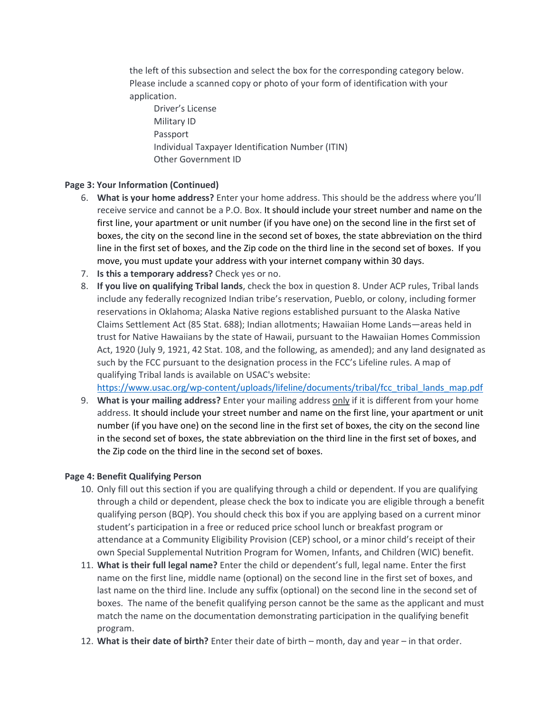the left of this subsection and select the box for the corresponding category below. Please include a scanned copy or photo of your form of identification with your application.

Driver's License Military ID Passport Individual Taxpayer Identification Number (ITIN) Other Government ID

# **Page 3: Your Information (Continued)**

- 6. **What is your home address?** Enter your home address. This should be the address where you'll receive service and cannot be a P.O. Box. It should include your street number and name on the first line, your apartment or unit number (if you have one) on the second line in the first set of boxes, the city on the second line in the second set of boxes, the state abbreviation on the third line in the first set of boxes, and the Zip code on the third line in the second set of boxes. If you move, you must update your address with your internet company within 30 days.
- 7. **Is this a temporary address?** Check yes or no.
- 8. **If you live on qualifying Tribal lands**, check the box in question 8. Under ACP rules, Tribal lands include any federally recognized Indian tribe's reservation, Pueblo, or colony, including former reservations in Oklahoma; Alaska Native regions established pursuant to the Alaska Native Claims Settlement Act (85 Stat. 688); Indian allotments; Hawaiian Home Lands—areas held in trust for Native Hawaiians by the state of Hawaii, pursuant to the Hawaiian Homes Commission Act, 1920 (July 9, 1921, 42 Stat. 108, and the following, as amended); and any land designated as such by the FCC pursuant to the designation process in the FCC's Lifeline rules. A map of qualifying Tribal lands is available on USAC's website:

[https://www.usac.org/wp-content/uploads/lifeline/documents/tribal/fcc\\_tribal\\_lands\\_map.pdf](https://www.usac.org/wp-content/uploads/lifeline/documents/tribal/fcc_tribal_lands_map.pdf)

9. **What is your mailing address?** Enter your mailing address only if it is different from your home address. It should include your street number and name on the first line, your apartment or unit number (if you have one) on the second line in the first set of boxes, the city on the second line in the second set of boxes, the state abbreviation on the third line in the first set of boxes, and the Zip code on the third line in the second set of boxes.

# **Page 4: Benefit Qualifying Person**

- 10. Only fill out this section if you are qualifying through a child or dependent. If you are qualifying through a child or dependent, please check the box to indicate you are eligible through a benefit qualifying person (BQP). You should check this box if you are applying based on a current minor student's participation in a free or reduced price school lunch or breakfast program or attendance at a Community Eligibility Provision (CEP) school, or a minor child's receipt of their own Special Supplemental Nutrition Program for Women, Infants, and Children (WIC) benefit.
- 11. **What is their full legal name?** Enter the child or dependent's full, legal name. Enter the first name on the first line, middle name (optional) on the second line in the first set of boxes, and last name on the third line. Include any suffix (optional) on the second line in the second set of boxes. The name of the benefit qualifying person cannot be the same as the applicant and must match the name on the documentation demonstrating participation in the qualifying benefit program.
- 12. **What is their date of birth?** Enter their date of birth month, day and year in that order.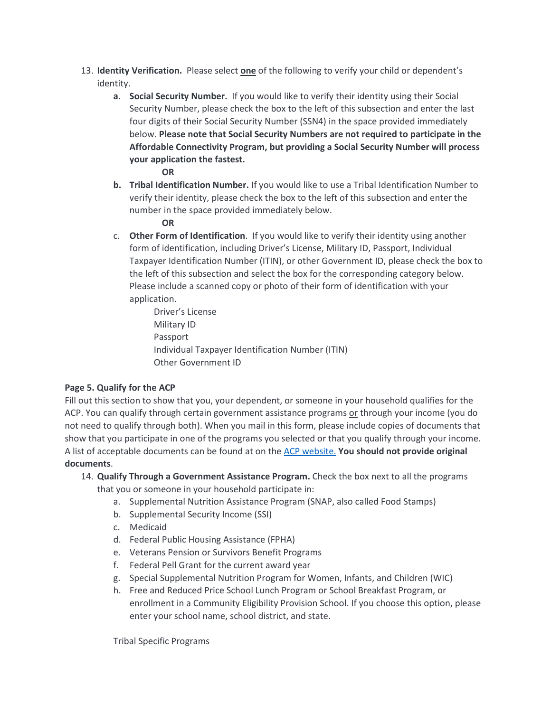- 13. **Identity Verification.** Please select **one** of the following to verify your child or dependent's identity.
	- **a. Social Security Number.** If you would like to verify their identity using their Social Security Number, please check the box to the left of this subsection and enter the last four digits of their Social Security Number (SSN4) in the space provided immediately below. **Please note that Social Security Numbers are not required to participate in the Affordable Connectivity Program, but providing a Social Security Number will process your application the fastest.** 
		- **OR**
	- **b. Tribal Identification Number.** If you would like to use a Tribal Identification Number to verify their identity, please check the box to the left of this subsection and enter the number in the space provided immediately below.

### **OR**

- c. **Other Form of Identification**. If you would like to verify their identity using another form of identification, including Driver's License, Military ID, Passport, Individual Taxpayer Identification Number (ITIN), or other Government ID, please check the box to the left of this subsection and select the box for the corresponding category below. Please include a scanned copy or photo of their form of identification with your application.
	- Driver's License Military ID Passport Individual Taxpayer Identification Number (ITIN) Other Government ID

# **Page 5. Qualify for the ACP**

Fill out this section to show that you, your dependent, or someone in your household qualifies for the ACP. You can qualify through certain government assistance programs or through your income (you do not need to qualify through both). When you mail in this form, please include copies of documents that show that you participate in one of the programs you selected or that you qualify through your income. A list of acceptable documents can be found at on the [ACP website.](https://acpbenefit.org/how-to-apply/show-you-qualify/) **You should not provide original documents**.

- 14. **Qualify Through a Government Assistance Program.** Check the box next to all the programs that you or someone in your household participate in:
	- a. Supplemental Nutrition Assistance Program (SNAP, also called Food Stamps)
	- b. Supplemental Security Income (SSI)
	- c. Medicaid
	- d. Federal Public Housing Assistance (FPHA)
	- e. Veterans Pension or Survivors Benefit Programs
	- f. Federal Pell Grant for the current award year
	- g. Special Supplemental Nutrition Program for Women, Infants, and Children (WIC)
	- h. Free and Reduced Price School Lunch Program or School Breakfast Program, or enrollment in a Community Eligibility Provision School. If you choose this option, please enter your school name, school district, and state.

Tribal Specific Programs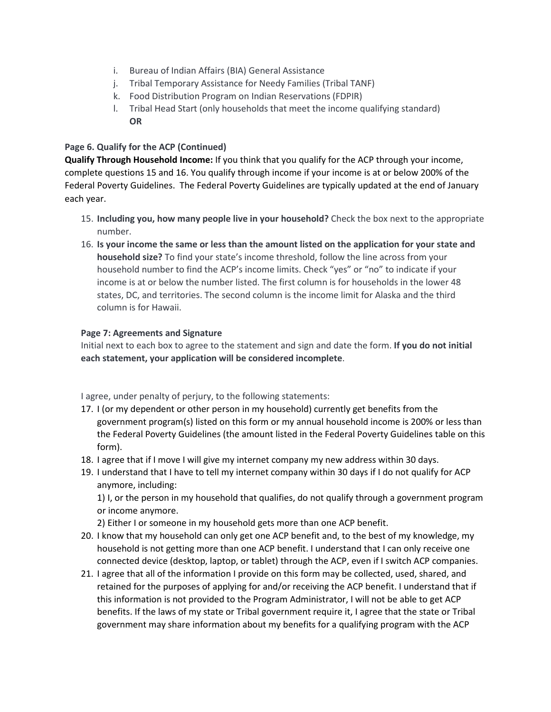- i. Bureau of Indian Affairs (BIA) General Assistance
- j. Tribal Temporary Assistance for Needy Families (Tribal TANF)
- k. Food Distribution Program on Indian Reservations (FDPIR)
- l. Tribal Head Start (only households that meet the income qualifying standard) **OR**

### **Page 6. Qualify for the ACP (Continued)**

**Qualify Through Household Income:** If you think that you qualify for the ACP through your income, complete questions 15 and 16. You qualify through income if your income is at or below 200% of the Federal Poverty Guidelines. The Federal Poverty Guidelines are typically updated at the end of January each year.

- 15. **Including you, how many people live in your household?** Check the box next to the appropriate number.
- 16. **Is your income the same or less than the amount listed on the application for your state and household size?** To find your state's income threshold, follow the line across from your household number to find the ACP's income limits. Check "yes" or "no" to indicate if your income is at or below the number listed. The first column is for households in the lower 48 states, DC, and territories. The second column is the income limit for Alaska and the third column is for Hawaii.

### **Page 7: Agreements and Signature**

Initial next to each box to agree to the statement and sign and date the form. **If you do not initial each statement, your application will be considered incomplete**.

I agree, under penalty of perjury, to the following statements:

- 17. I (or my dependent or other person in my household) currently get benefits from the government program(s) listed on this form or my annual household income is 200% or less than the Federal Poverty Guidelines (the amount listed in the Federal Poverty Guidelines table on this form).
- 18. I agree that if I move I will give my internet company my new address within 30 days.
- 19. I understand that I have to tell my internet company within 30 days if I do not qualify for ACP anymore, including:

1) I, or the person in my household that qualifies, do not qualify through a government program or income anymore.

- 2) Either I or someone in my household gets more than one ACP benefit.
- 20. I know that my household can only get one ACP benefit and, to the best of my knowledge, my household is not getting more than one ACP benefit. I understand that I can only receive one connected device (desktop, laptop, or tablet) through the ACP, even if I switch ACP companies.
- 21. I agree that all of the information I provide on this form may be collected, used, shared, and retained for the purposes of applying for and/or receiving the ACP benefit. I understand that if this information is not provided to the Program Administrator, I will not be able to get ACP benefits. If the laws of my state or Tribal government require it, I agree that the state or Tribal government may share information about my benefits for a qualifying program with the ACP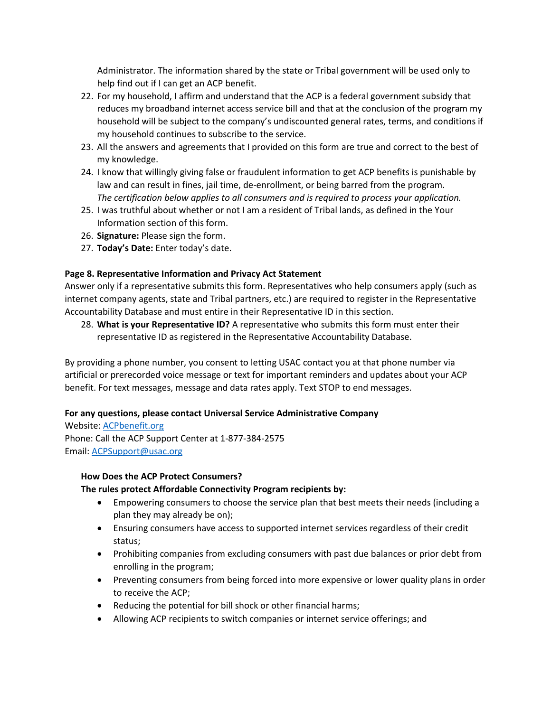Administrator. The information shared by the state or Tribal government will be used only to help find out if I can get an ACP benefit.

- 22. For my household, I affirm and understand that the ACP is a federal government subsidy that reduces my broadband internet access service bill and that at the conclusion of the program my household will be subject to the company's undiscounted general rates, terms, and conditions if my household continues to subscribe to the service.
- 23. All the answers and agreements that I provided on this form are true and correct to the best of my knowledge.
- 24. I know that willingly giving false or fraudulent information to get ACP benefits is punishable by law and can result in fines, jail time, de-enrollment, or being barred from the program. *The certification below applies to all consumers and is required to process your application.*
- 25. I was truthful about whether or not I am a resident of Tribal lands, as defined in the Your Information section of this form.
- 26. **Signature:** Please sign the form.
- 27. **Today's Date:** Enter today's date.

### **Page 8. Representative Information and Privacy Act Statement**

Answer only if a representative submits this form. Representatives who help consumers apply (such as internet company agents, state and Tribal partners, etc.) are required to register in the Representative Accountability Database and must entire in their Representative ID in this section.

28. **What is your Representative ID?** A representative who submits this form must enter their representative ID as registered in the Representative Accountability Database.

By providing a phone number, you consent to letting USAC contact you at that phone number via artificial or prerecorded voice message or text for important reminders and updates about your ACP benefit. For text messages, message and data rates apply. Text STOP to end messages.

#### **For any questions, please contact Universal Service Administrative Company**

Website: [ACPbenefit.org](https://acpbenefit.org/)  Phone: Call the ACP Support Center at 1-877-384-2575 Email: [ACPSupport@usac.org](mailto:ACPSupport@usac.org)

#### **How Does the ACP Protect Consumers?**

# **The rules protect Affordable Connectivity Program recipients by:**

- Empowering consumers to choose the service plan that best meets their needs (including a plan they may already be on);
- Ensuring consumers have access to supported internet services regardless of their credit status;
- Prohibiting companies from excluding consumers with past due balances or prior debt from enrolling in the program;
- Preventing consumers from being forced into more expensive or lower quality plans in order to receive the ACP;
- Reducing the potential for bill shock or other financial harms;
- Allowing ACP recipients to switch companies or internet service offerings; and